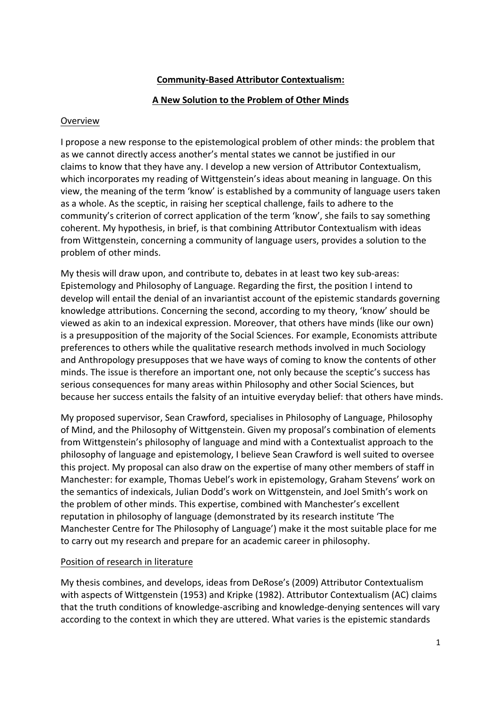# **Community-Based Attributor Contextualism:**

### **A New Solution to the Problem of Other Minds**

#### Overview

I propose a new response to the epistemological problem of other minds: the problem that as we cannot directly access another's mental states we cannot be justified in our claims to know that they have any. I develop a new version of Attributor Contextualism, which incorporates my reading of Wittgenstein's ideas about meaning in language. On this view, the meaning of the term 'know' is established by a community of language users taken as a whole. As the sceptic, in raising her sceptical challenge, fails to adhere to the community's criterion of correct application of the term 'know', she fails to say something coherent. My hypothesis, in brief, is that combining Attributor Contextualism with ideas from Wittgenstein, concerning a community of language users, provides a solution to the problem of other minds.

My thesis will draw upon, and contribute to, debates in at least two key sub-areas: Epistemology and Philosophy of Language. Regarding the first, the position I intend to develop will entail the denial of an invariantist account of the epistemic standards governing knowledge attributions. Concerning the second, according to my theory, 'know' should be viewed as akin to an indexical expression. Moreover, that others have minds (like our own) is a presupposition of the majority of the Social Sciences. For example, Economists attribute preferences to others while the qualitative research methods involved in much Sociology and Anthropology presupposes that we have ways of coming to know the contents of other minds. The issue is therefore an important one, not only because the sceptic's success has serious consequences for many areas within Philosophy and other Social Sciences, but because her success entails the falsity of an intuitive everyday belief: that others have minds.

My proposed supervisor, Sean Crawford, specialises in Philosophy of Language, Philosophy of Mind, and the Philosophy of Wittgenstein. Given my proposal's combination of elements from Wittgenstein's philosophy of language and mind with a Contextualist approach to the philosophy of language and epistemology, I believe Sean Crawford is well suited to oversee this project. My proposal can also draw on the expertise of many other members of staff in Manchester: for example, Thomas Uebel's work in epistemology, Graham Stevens' work on the semantics of indexicals, Julian Dodd's work on Wittgenstein, and Joel Smith's work on the problem of other minds. This expertise, combined with Manchester's excellent reputation in philosophy of language (demonstrated by its research institute 'The Manchester Centre for The Philosophy of Language') make it the most suitable place for me to carry out my research and prepare for an academic career in philosophy.

# Position of research in literature

My thesis combines, and develops, ideas from DeRose's (2009) Attributor Contextualism with aspects of Wittgenstein (1953) and Kripke (1982). Attributor Contextualism (AC) claims that the truth conditions of knowledge-ascribing and knowledge-denying sentences will vary according to the context in which they are uttered. What varies is the epistemic standards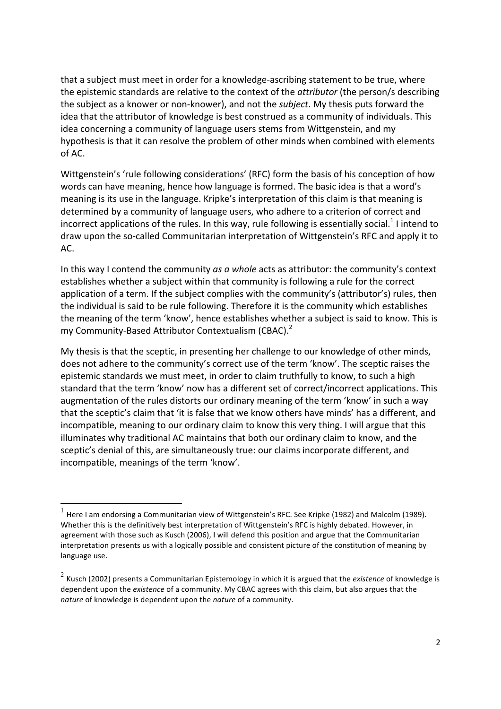that a subject must meet in order for a knowledge-ascribing statement to be true, where the epistemic standards are relative to the context of the *attributor* (the person/s describing the subject as a knower or non-knower), and not the *subject*. My thesis puts forward the idea that the attributor of knowledge is best construed as a community of individuals. This idea concerning a community of language users stems from Wittgenstein, and my hypothesis is that it can resolve the problem of other minds when combined with elements  $of AC$ .

Wittgenstein's 'rule following considerations' (RFC) form the basis of his conception of how words can have meaning, hence how language is formed. The basic idea is that a word's meaning is its use in the language. Kripke's interpretation of this claim is that meaning is determined by a community of language users, who adhere to a criterion of correct and incorrect applications of the rules. In this way, rule following is essentially social.<sup>1</sup> I intend to draw upon the so-called Communitarian interpretation of Wittgenstein's RFC and apply it to AC.

In this way I contend the community *as a whole* acts as attributor: the community's context establishes whether a subject within that community is following a rule for the correct application of a term. If the subject complies with the community's (attributor's) rules, then the individual is said to be rule following. Therefore it is the community which establishes the meaning of the term 'know', hence establishes whether a subject is said to know. This is my Community-Based Attributor Contextualism (CBAC).<sup>2</sup>

My thesis is that the sceptic, in presenting her challenge to our knowledge of other minds, does not adhere to the community's correct use of the term 'know'. The sceptic raises the epistemic standards we must meet, in order to claim truthfully to know, to such a high standard that the term 'know' now has a different set of correct/incorrect applications. This augmentation of the rules distorts our ordinary meaning of the term 'know' in such a way that the sceptic's claim that 'it is false that we know others have minds' has a different, and incompatible, meaning to our ordinary claim to know this very thing. I will argue that this illuminates why traditional AC maintains that both our ordinary claim to know, and the sceptic's denial of this, are simultaneously true: our claims incorporate different, and incompatible, meanings of the term 'know'.

 $^{-1}$  Here I am endorsing a Communitarian view of Wittgenstein's RFC. See Kripke (1982) and Malcolm (1989). Whether this is the definitively best interpretation of Wittgenstein's RFC is highly debated. However, in agreement with those such as Kusch (2006), I will defend this position and argue that the Communitarian interpretation presents us with a logically possible and consistent picture of the constitution of meaning by language use.

 $2$  Kusch (2002) presents a Communitarian Epistemology in which it is argued that the *existence* of knowledge is dependent upon the existence of a community. My CBAC agrees with this claim, but also argues that the *nature* of knowledge is dependent upon the *nature* of a community.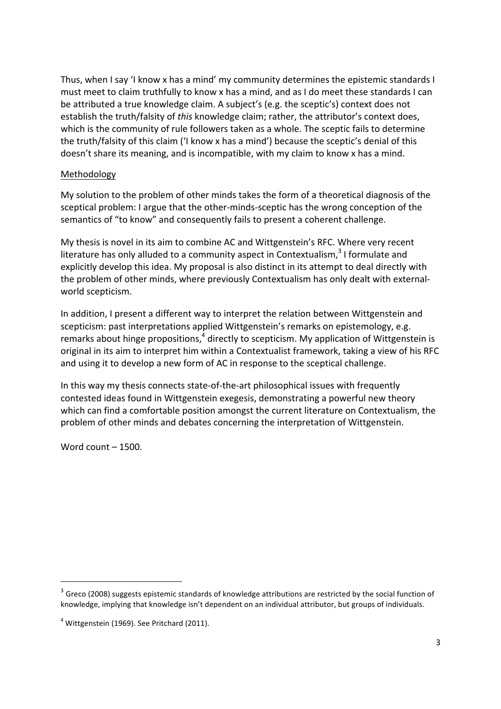Thus, when I say 'I know x has a mind' my community determines the epistemic standards I must meet to claim truthfully to know x has a mind, and as I do meet these standards I can be attributed a true knowledge claim. A subject's (e.g. the sceptic's) context does not establish the truth/falsity of *this* knowledge claim; rather, the attributor's context does, which is the community of rule followers taken as a whole. The sceptic fails to determine the truth/falsity of this claim ('I know x has a mind') because the sceptic's denial of this doesn't share its meaning, and is incompatible, with my claim to know x has a mind.

### Methodology

My solution to the problem of other minds takes the form of a theoretical diagnosis of the sceptical problem: I argue that the other-minds-sceptic has the wrong conception of the semantics of "to know" and consequently fails to present a coherent challenge.

My thesis is novel in its aim to combine AC and Wittgenstein's RFC. Where very recent literature has only alluded to a community aspect in Contextualism,  $3$  I formulate and explicitly develop this idea. My proposal is also distinct in its attempt to deal directly with the problem of other minds, where previously Contextualism has only dealt with externalworld scepticism.

In addition, I present a different way to interpret the relation between Wittgenstein and scepticism: past interpretations applied Wittgenstein's remarks on epistemology, e.g. remarks about hinge propositions, $4$  directly to scepticism. My application of Wittgenstein is original in its aim to interpret him within a Contextualist framework, taking a view of his RFC and using it to develop a new form of AC in response to the sceptical challenge.

In this way my thesis connects state-of-the-art philosophical issues with frequently contested ideas found in Wittgenstein exegesis, demonstrating a powerful new theory which can find a comfortable position amongst the current literature on Contextualism, the problem of other minds and debates concerning the interpretation of Wittgenstein.

Word count  $-$  1500.

<u> 1989 - Jan Samuel Barbara, margaret e</u>

 $3$  Greco (2008) suggests epistemic standards of knowledge attributions are restricted by the social function of knowledge, implying that knowledge isn't dependent on an individual attributor, but groups of individuals.

 $4$  Wittgenstein (1969). See Pritchard (2011).